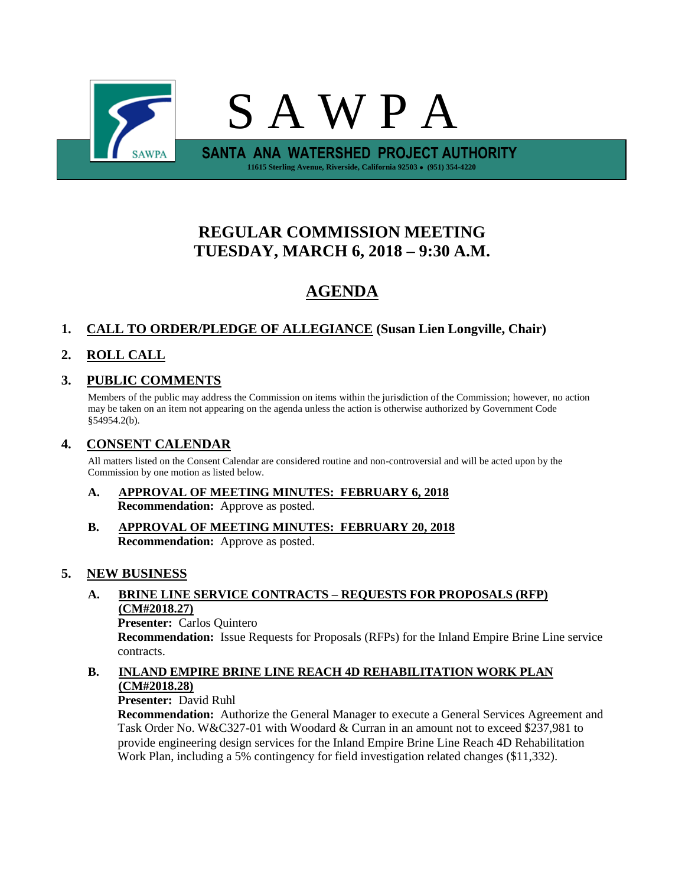

## **REGULAR COMMISSION MEETING TUESDAY, MARCH 6, 2018 – 9:30 A.M.**

# **AGENDA**

## **1. CALL TO ORDER/PLEDGE OF ALLEGIANCE (Susan Lien Longville, Chair)**

## **2. ROLL CALL**

## **3. PUBLIC COMMENTS**

Members of the public may address the Commission on items within the jurisdiction of the Commission; however, no action may be taken on an item not appearing on the agenda unless the action is otherwise authorized by Government Code §54954.2(b).

## **4. CONSENT CALENDAR**

All matters listed on the Consent Calendar are considered routine and non-controversial and will be acted upon by the Commission by one motion as listed below.

- **A. APPROVAL OF MEETING MINUTES: FEBRUARY 6, 2018 Recommendation:** Approve as posted.
- **B. APPROVAL OF MEETING MINUTES: FEBRUARY 20, 2018 Recommendation:** Approve as posted.

## **5. NEW BUSINESS**

## **A. BRINE LINE SERVICE CONTRACTS – REQUESTS FOR PROPOSALS (RFP) (CM#2018.27)**

**Presenter:** Carlos Quintero

**Recommendation:** Issue Requests for Proposals (RFPs) for the Inland Empire Brine Line service contracts.

#### **B. INLAND EMPIRE BRINE LINE REACH 4D REHABILITATION WORK PLAN (CM#2018.28)**

#### **Presenter:** David Ruhl

**Recommendation:** Authorize the General Manager to execute a General Services Agreement and Task Order No. W&C327-01 with Woodard & Curran in an amount not to exceed \$237,981 to provide engineering design services for the Inland Empire Brine Line Reach 4D Rehabilitation Work Plan, including a 5% contingency for field investigation related changes (\$11,332).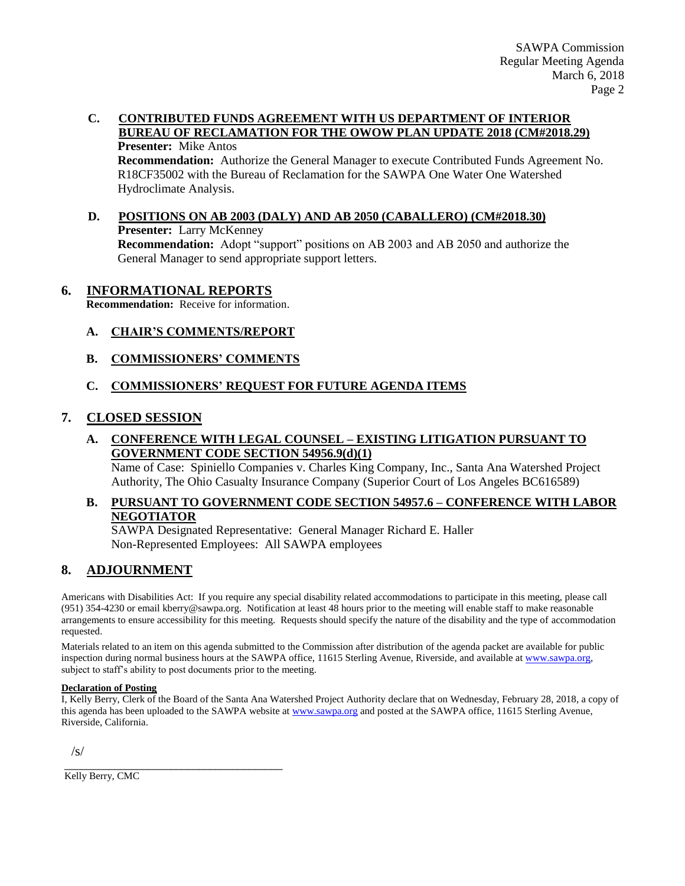**C. CONTRIBUTED FUNDS AGREEMENT WITH US DEPARTMENT OF INTERIOR BUREAU OF RECLAMATION FOR THE OWOW PLAN UPDATE 2018 (CM#2018.29) Presenter:** Mike Antos

**Recommendation:** Authorize the General Manager to execute Contributed Funds Agreement No. R18CF35002 with the Bureau of Reclamation for the SAWPA One Water One Watershed Hydroclimate Analysis.

**D. POSITIONS ON AB 2003 (DALY) AND AB 2050 (CABALLERO) (CM#2018.30) Presenter:** Larry McKenney **Recommendation:** Adopt "support" positions on AB 2003 and AB 2050 and authorize the General Manager to send appropriate support letters.

#### **6. INFORMATIONAL REPORTS**

**Recommendation:** Receive for information.

#### **A. CHAIR'S COMMENTS/REPORT**

#### **B. COMMISSIONERS' COMMENTS**

#### **C. COMMISSIONERS' REQUEST FOR FUTURE AGENDA ITEMS**

#### **7. CLOSED SESSION**

#### **A. CONFERENCE WITH LEGAL COUNSEL – EXISTING LITIGATION PURSUANT TO GOVERNMENT CODE SECTION 54956.9(d)(1)**

Name of Case: Spiniello Companies v. Charles King Company, Inc., Santa Ana Watershed Project Authority, The Ohio Casualty Insurance Company (Superior Court of Los Angeles BC616589)

### **B. PURSUANT TO GOVERNMENT CODE SECTION 54957.6 – CONFERENCE WITH LABOR NEGOTIATOR**

SAWPA Designated Representative: General Manager Richard E. Haller Non-Represented Employees: All SAWPA employees

## **8. ADJOURNMENT**

Americans with Disabilities Act: If you require any special disability related accommodations to participate in this meeting, please call (951) 354-4230 or email kberry@sawpa.org. Notification at least 48 hours prior to the meeting will enable staff to make reasonable arrangements to ensure accessibility for this meeting. Requests should specify the nature of the disability and the type of accommodation requested.

Materials related to an item on this agenda submitted to the Commission after distribution of the agenda packet are available for public inspection during normal business hours at the SAWPA office, 11615 Sterling Avenue, Riverside, and available a[t www.sawpa.org,](http://www.sawpa.org/) subject to staff's ability to post documents prior to the meeting.

#### **Declaration of Posting**

I, Kelly Berry, Clerk of the Board of the Santa Ana Watershed Project Authority declare that on Wednesday, February 28, 2018, a copy of this agenda has been uploaded to the SAWPA website at [www.sawpa.org](http://www.sawpa.org/) and posted at the SAWPA office, 11615 Sterling Avenue, Riverside, California.

/s/

\_\_\_\_\_\_\_\_\_\_\_\_\_\_\_\_\_\_\_\_\_\_\_\_\_\_\_\_\_\_\_\_\_\_\_\_\_\_\_ Kelly Berry, CMC